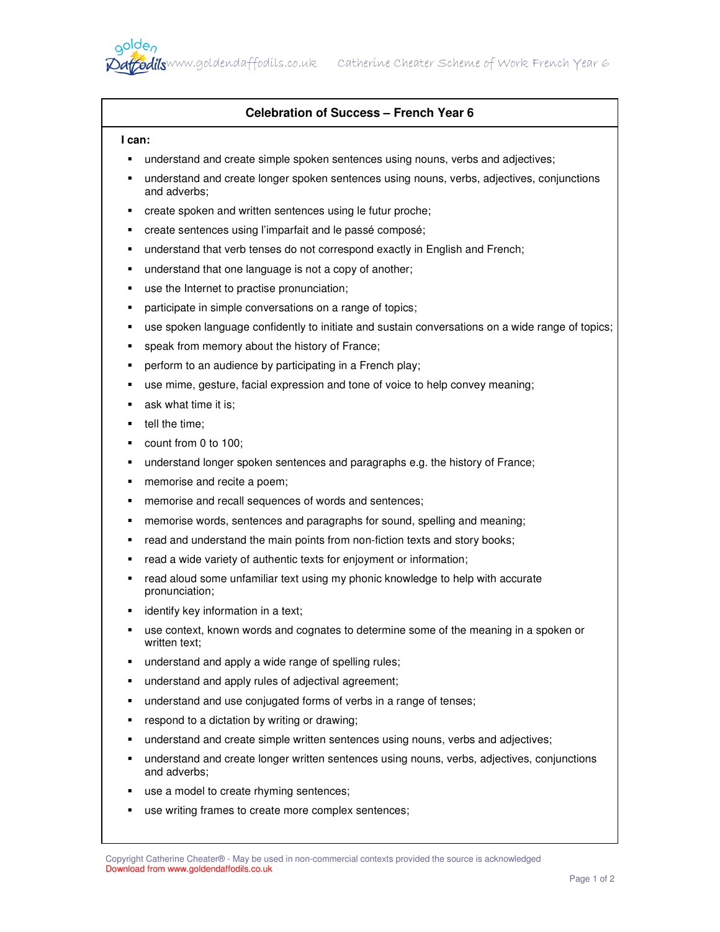## **Celebration of Success – French Year 6**

## **I can:**

aolde,

- understand and create simple spoken sentences using nouns, verbs and adjectives;
- understand and create longer spoken sentences using nouns, verbs, adjectives, conjunctions and adverbs;
- create spoken and written sentences using le futur proche;
- create sentences using l'imparfait and le passé composé;
- understand that verb tenses do not correspond exactly in English and French;
- **understand that one language is not a copy of another;**
- use the Internet to practise pronunciation;
- **•** participate in simple conversations on a range of topics;
- use spoken language confidently to initiate and sustain conversations on a wide range of topics;
- speak from memory about the history of France;
- **•** perform to an audience by participating in a French play;
- use mime, gesture, facial expression and tone of voice to help convey meaning;
- **ask what time it is;**
- $\blacksquare$  tell the time;
- count from 0 to 100;
- understand longer spoken sentences and paragraphs e.g. the history of France;
- **n** memorise and recite a poem;
- **F** memorise and recall sequences of words and sentences;
- memorise words, sentences and paragraphs for sound, spelling and meaning;
- read and understand the main points from non-fiction texts and story books;
- read a wide variety of authentic texts for enjoyment or information;
- read aloud some unfamiliar text using my phonic knowledge to help with accurate pronunciation;
- **identify key information in a text;**
- use context, known words and cognates to determine some of the meaning in a spoken or written text:
- **understand and apply a wide range of spelling rules;**
- understand and apply rules of adjectival agreement;
- understand and use conjugated forms of verbs in a range of tenses;
- respond to a dictation by writing or drawing;
- understand and create simple written sentences using nouns, verbs and adjectives;
- understand and create longer written sentences using nouns, verbs, adjectives, conjunctions and adverbs;
- use a model to create rhyming sentences;
- use writing frames to create more complex sentences;